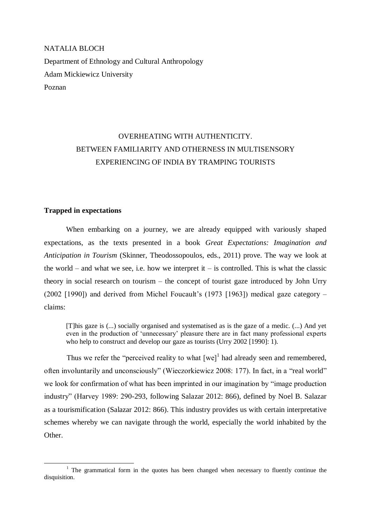NATALIA BLOCH Department of Ethnology and Cultural Anthropology Adam Mickiewicz University Poznan

# OVERHEATING WITH AUTHENTICITY. BETWEEN FAMILIARITY AND OTHERNESS IN MULTISENSORY EXPERIENCING OF INDIA BY TRAMPING TOURISTS

## **Trapped in expectations**

1

When embarking on a journey, we are already equipped with variously shaped expectations, as the texts presented in a book *Great Expectations: Imagination and Anticipation in Tourism* (Skinner, Theodossopoulos, eds., 2011) prove. The way we look at the world – and what we see, i.e. how we interpret it – is controlled. This is what the classic theory in social research on tourism – the concept of tourist gaze introduced by John Urry (2002 [1990]) and derived from Michel Foucault's (1973 [1963]) medical gaze category – claims:

[T]his gaze is (...) socially organised and systematised as is the gaze of a medic. (...) And yet even in the production of 'unnecessary' pleasure there are in fact many professional experts who help to construct and develop our gaze as tourists (Urry 2002 [1990]: 1).

Thus we refer the "perceived reality to what  $[we]^1$  had already seen and remembered, often involuntarily and unconsciously" (Wieczorkiewicz 2008: 177). In fact, in a "real world" we look for confirmation of what has been imprinted in our imagination by "image production industry" (Harvey 1989: 290-293, following Salazar 2012: 866), defined by Noel B. Salazar as a tourismification (Salazar 2012: 866). This industry provides us with certain interpretative schemes whereby we can navigate through the world, especially the world inhabited by the Other.

 $1$ . The grammatical form in the quotes has been changed when necessary to fluently continue the disquisition.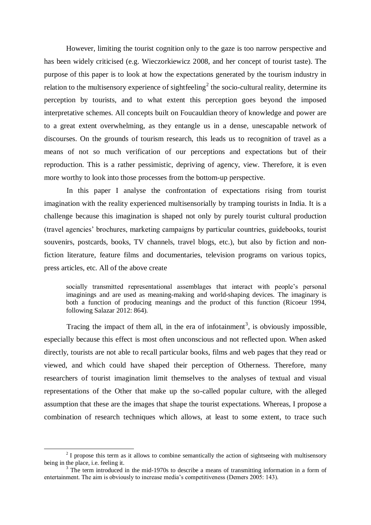However, limiting the tourist cognition only to the gaze is too narrow perspective and has been widely criticised (e.g. Wieczorkiewicz 2008, and her concept of tourist taste). The purpose of this paper is to look at how the expectations generated by the tourism industry in relation to the multisensory experience of sightfeeling<sup>2</sup> the socio-cultural reality, determine its perception by tourists, and to what extent this perception goes beyond the imposed interpretative schemes. All concepts built on Foucauldian theory of knowledge and power are to a great extent overwhelming, as they entangle us in a dense, unescapable network of discourses. On the grounds of tourism research, this leads us to recognition of travel as a means of not so much verification of our perceptions and expectations but of their reproduction. This is a rather pessimistic, depriving of agency, view. Therefore, it is even more worthy to look into those processes from the bottom-up perspective.

In this paper I analyse the confrontation of expectations rising from tourist imagination with the reality experienced multisensorially by tramping tourists in India. It is a challenge because this imagination is shaped not only by purely tourist cultural production (travel agencies' brochures, marketing campaigns by particular countries, guidebooks, tourist souvenirs, postcards, books, TV channels, travel blogs, etc.), but also by fiction and nonfiction literature, feature films and documentaries, television programs on various topics, press articles, etc. All of the above create

socially transmitted representational assemblages that interact with people's personal imaginings and are used as meaning-making and world-shaping devices. The imaginary is both a function of producing meanings and the product of this function (Ricoeur 1994, following Salazar 2012: 864).

Tracing the impact of them all, in the era of infotainment<sup>3</sup>, is obviously impossible, especially because this effect is most often unconscious and not reflected upon. When asked directly, tourists are not able to recall particular books, films and web pages that they read or viewed, and which could have shaped their perception of Otherness. Therefore, many researchers of tourist imagination limit themselves to the analyses of textual and visual representations of the Other that make up the so-called popular culture, with the alleged assumption that these are the images that shape the tourist expectations. Whereas, I propose a combination of research techniques which allows, at least to some extent, to trace such

-

 $2<sup>2</sup>$  I propose this term as it allows to combine semantically the action of sightseeing with multisensory being in the place, i.e. feeling it.

<sup>&</sup>lt;sup>3</sup> The term introduced in the mid-1970s to describe a means of transmitting information in a form of entertainment. The aim is obviously to increase media's competitiveness (Demers 2005: 143).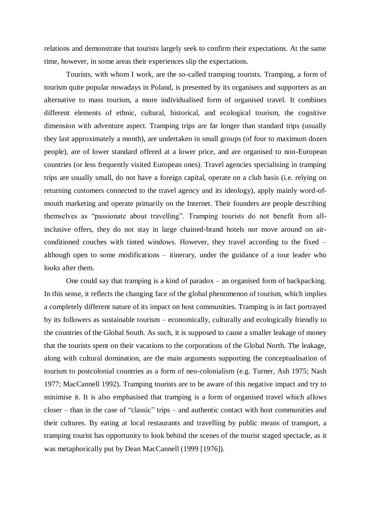relations and demonstrate that tourists largely seek to confirm their expectations. At the same time, however, in some areas their experiences slip the expectations.

Tourists, with whom I work, are the so-called tramping tourists. Tramping, a form of tourism quite popular nowadays in Poland, is presented by its organisers and supporters as an alternative to mass tourism, a more individualised form of organised travel. It combines different elements of ethnic, cultural, historical, and ecological tourism, the cognitive dimension with adventure aspect. Tramping trips are far longer than standard trips (usually they last approximately a month), are undertaken in small groups (of four to maximum dozen people), are of lower standard offered at a lower price, and are organised to non-European countries (or less frequently visited European ones). Travel agencies specialising in tramping trips are usually small, do not have a foreign capital, operate on a club basis (i.e. relying on returning customers connected to the travel agency and its ideology), apply mainly word-ofmouth marketing and operate primarily on the Internet. Their founders are people describing themselves as "passionate about travelling". Tramping tourists do not benefit from allinclusive offers, they do not stay in large chained-brand hotels nor move around on airconditioned couches with tinted windows. However, they travel according to the fixed – although open to some modifications – itinerary, under the guidance of a tour leader who looks after them.

One could say that tramping is a kind of paradox – an organised form of backpacking. In this sense, it reflects the changing face of the global phenomenon of tourism, which implies a completely different nature of its impact on host communities. Tramping is in fact portrayed by its followers as sustainable tourism – economically, culturally and ecologically friendly to the countries of the Global South. As such, it is supposed to cause a smaller leakage of money that the tourists spent on their vacations to the corporations of the Global North. The leakage, along with cultural domination, are the main arguments supporting the conceptualisation of tourism to postcolonial countries as a form of neo-colonialism (e.g. Turner, Ash 1975; Nash 1977; MacCannell 1992). Tramping tourists are to be aware of this negative impact and try to minimise it. It is also emphasised that tramping is a form of organised travel which allows closer – than in the case of "classic" trips – and authentic contact with host communities and their cultures. By eating at local restaurants and travelling by public means of transport, a tramping tourist has opportunity to look behind the scenes of the tourist staged spectacle, as it was metaphorically put by Dean MacCannell (1999 [1976]).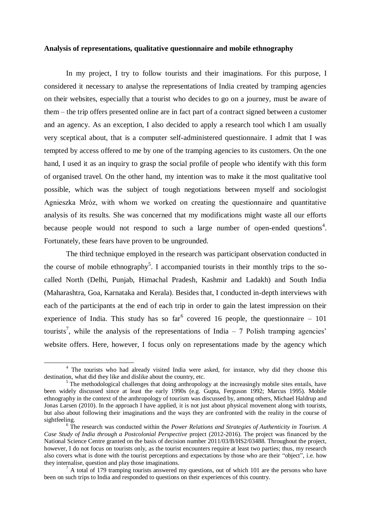#### **Analysis of representations, qualitative questionnaire and mobile ethnography**

In my project, I try to follow tourists and their imaginations. For this purpose, I considered it necessary to analyse the representations of India created by tramping agencies on their websites, especially that a tourist who decides to go on a journey, must be aware of them – the trip offers presented online are in fact part of a contract signed between a customer and an agency. As an exception, I also decided to apply a research tool which I am usually very sceptical about, that is a computer self-administered questionnaire. I admit that I was tempted by access offered to me by one of the tramping agencies to its customers. On the one hand, I used it as an inquiry to grasp the social profile of people who identify with this form of organised travel. On the other hand, my intention was to make it the most qualitative tool possible, which was the subject of tough negotiations between myself and sociologist Agnieszka Mróz, with whom we worked on creating the questionnaire and quantitative analysis of its results. She was concerned that my modifications might waste all our efforts because people would not respond to such a large number of open-ended questions<sup>4</sup>. Fortunately, these fears have proven to be ungrounded.

The third technique employed in the research was participant observation conducted in the course of mobile ethnography<sup>5</sup>. I accompanied tourists in their monthly trips to the socalled North (Delhi, Punjab, Himachal Pradesh, Kashmir and Ladakh) and South India (Maharashtra, Goa, Karnataka and Kerala). Besides that, I conducted in-depth interviews with each of the participants at the end of each trip in order to gain the latest impression on their experience of India. This study has so far<sup>6</sup> covered 16 people, the questionnaire  $-101$ tourists<sup>7</sup>, while the analysis of the representations of India  $-7$  Polish tramping agencies<sup>3</sup> website offers. Here, however, I focus only on representations made by the agency which

-

<sup>&</sup>lt;sup>4</sup> The tourists who had already visited India were asked, for instance, why did they choose this destination, what did they like and dislike about the country, etc.

<sup>&</sup>lt;sup>5</sup> The methodological challenges that doing anthropology at the increasingly mobile sites entails, have been widely discussed since at least the early 1990s (e.g. Gupta, Ferguson 1992; Marcus 1995). Mobile ethnography in the context of the anthropology of tourism was discussed by, among others, Michael Haldrup and Jonas Larsen (2010). In the approach I have applied, it is not just about physical movement along with tourists, but also about following their imaginations and the ways they are confronted with the reality in the course of sightfeeling.

<sup>6</sup> The research was conducted within the *Power Relations and Strategies of Authenticity in Tourism. A Case Study of India through a Postcolonial Perspective* project (2012-2016). The project was financed by the National Science Centre granted on the basis of decision number 2011/03/B/HS2/03488. Throughout the project, however. I do not focus on tourists only, as the tourist encounters require at least two parties; thus, my research also covers what is done with the tourist perceptions and expectations by those who are their "object", i.e. how they internalise, question and play those imaginations.

A total of 179 tramping tourists answered my questions, out of which 101 are the persons who have been on such trips to India and responded to questions on their experiences of this country.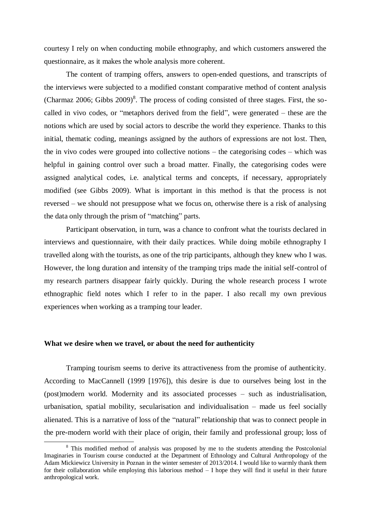courtesy I rely on when conducting mobile ethnography, and which customers answered the questionnaire, as it makes the whole analysis more coherent.

The content of tramping offers, answers to open-ended questions, and transcripts of the interviews were subjected to a modified constant comparative method of content analysis (Charmaz 2006; Gibbs  $2009$ <sup>8</sup>. The process of coding consisted of three stages. First, the socalled in vivo codes, or "metaphors derived from the field", were generated – these are the notions which are used by social actors to describe the world they experience. Thanks to this initial, thematic coding, meanings assigned by the authors of expressions are not lost. Then, the in vivo codes were grouped into collective notions – the categorising codes – which was helpful in gaining control over such a broad matter. Finally, the categorising codes were assigned analytical codes, i.e. analytical terms and concepts, if necessary, appropriately modified (see Gibbs 2009). What is important in this method is that the process is not reversed – we should not presuppose what we focus on, otherwise there is a risk of analysing the data only through the prism of "matching" parts.

Participant observation, in turn, was a chance to confront what the tourists declared in interviews and questionnaire, with their daily practices. While doing mobile ethnography I travelled along with the tourists, as one of the trip participants, although they knew who I was. However, the long duration and intensity of the tramping trips made the initial self-control of my research partners disappear fairly quickly. During the whole research process I wrote ethnographic field notes which I refer to in the paper. I also recall my own previous experiences when working as a tramping tour leader.

## **What we desire when we travel, or about the need for authenticity**

1

Tramping tourism seems to derive its attractiveness from the promise of authenticity. According to MacCannell (1999 [1976]), this desire is due to ourselves being lost in the (post)modern world. Modernity and its associated processes – such as industrialisation, urbanisation, spatial mobility, secularisation and individualisation – made us feel socially alienated. This is a narrative of loss of the "natural" relationship that was to connect people in the pre-modern world with their place of origin, their family and professional group; loss of

<sup>&</sup>lt;sup>8</sup> This modified method of analysis was proposed by me to the students attending the Postcolonial Imaginaries in Tourism course conducted at the Department of Ethnology and Cultural Anthropology of the Adam Mickiewicz University in Poznan in the winter semester of 2013/2014. I would like to warmly thank them for their collaboration while employing this laborious method – I hope they will find it useful in their future anthropological work.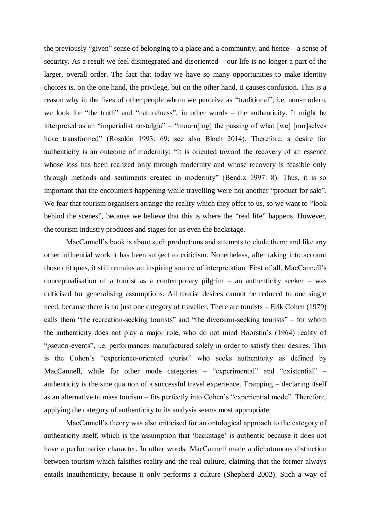the previously "given" sense of belonging to a place and a community, and hence – a sense of security. As a result we feel disintegrated and disoriented – our life is no longer a part of the larger, overall order. The fact that today we have so many opportunities to make identity choices is, on the one hand, the privilege, but on the other hand, it causes confusion. This is a reason why in the lives of other people whom we perceive as "traditional", i.e. non-modern, we look for "the truth" and "naturalness", in other words – the authenticity. It might be interpreted as an "imperialist nostalgia" – "mourn[ing] the passing of what [we] [our]selves have transformed" (Rosaldo 1993: 69; see also Bloch 2014). Therefore, a desire for authenticity is an outcome of modernity: "It is oriented toward the recovery of an essence whose loss has been realized only through modernity and whose recovery is feasible only through methods and sentiments created in modernity" (Bendix 1997: 8). Thus, it is so important that the encounters happening while travelling were not another "product for sale". We fear that tourism organisers arrange the reality which they offer to us, so we want to "look" behind the scenes", because we believe that this is where the "real life" happens. However, the tourism industry produces and stages for us even the backstage.

MacCannell's book is about such productions and attempts to elude them; and like any other influential work it has been subject to criticism. Nonetheless, after taking into account those critiques, it still remains an inspiring source of interpretation. First of all, MacCannell's conceptualisation of a tourist as a contemporary pilgrim – an authenticity seeker – was criticised for generalising assumptions. All tourist desires cannot be reduced to one single need, because there is no just one category of traveller. There are tourists – Erik Cohen (1979) calls them "the recreation-seeking tourists" and "the diversion-seeking tourists" – for whom the authenticity does not play a major role, who do not mind Boorstin's (1964) reality of "pseudo-events", i.e. performances manufactured solely in order to satisfy their desires. This is the Cohen's "experience-oriented tourist" who seeks authenticity as defined by MacCannell, while for other mode categories – "experimental" and "existential" – authenticity is the sine qua non of a successful travel experience. Tramping – declaring itself as an alternative to mass tourism – fits perfectly into Cohen's "experiential mode". Therefore, applying the category of authenticity to its analysis seems most appropriate.

MacCannell's theory was also criticised for an ontological approach to the category of authenticity itself, which is the assumption that 'backstage' is authentic because it does not have a performative character. In other words, MacCannell made a dichotomous distinction between tourism which falsifies reality and the real culture, claiming that the former always entails inauthenticity, because it only performs a culture (Shepherd 2002). Such a way of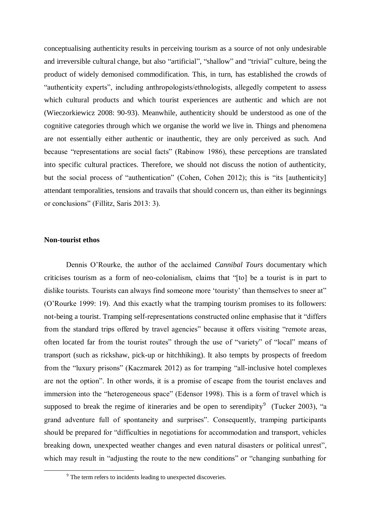conceptualising authenticity results in perceiving tourism as a source of not only undesirable and irreversible cultural change, but also "artificial", "shallow" and "trivial" culture, being the product of widely demonised commodification. This, in turn, has established the crowds of "authenticity experts", including anthropologists/ethnologists, allegedly competent to assess which cultural products and which tourist experiences are authentic and which are not (Wieczorkiewicz 2008: 90-93). Meanwhile, authenticity should be understood as one of the cognitive categories through which we organise the world we live in. Things and phenomena are not essentially either authentic or inauthentic, they are only perceived as such. And because "representations are social facts" (Rabinow 1986), these perceptions are translated into specific cultural practices. Therefore, we should not discuss the notion of authenticity, but the social process of "authentication" (Cohen, Cohen 2012); this is "its [authenticity] attendant temporalities, tensions and travails that should concern us, than either its beginnings or conclusions" (Fillitz, Saris 2013: 3).

## **Non-tourist ethos**

1

Dennis O'Rourke, the author of the acclaimed *Cannibal Tours* documentary which criticises tourism as a form of neo-colonialism, claims that "[to] be a tourist is in part to dislike tourists. Tourists can always find someone more 'touristy' than themselves to sneer at" (O'Rourke 1999: 19). And this exactly what the tramping tourism promises to its followers: not-being a tourist. Tramping self-representations constructed online emphasise that it "differs from the standard trips offered by travel agencies" because it offers visiting "remote areas, often located far from the tourist routes" through the use of "variety" of "local" means of transport (such as rickshaw, pick-up or hitchhiking). It also tempts by prospects of freedom from the "luxury prisons" (Kaczmarek 2012) as for tramping "all-inclusive hotel complexes are not the option". In other words, it is a promise of escape from the tourist enclaves and immersion into the "heterogeneous space" (Edensor 1998). This is a form of travel which is supposed to break the regime of itineraries and be open to serendipity<sup>9</sup> (Tucker 2003), "a grand adventure full of spontaneity and surprises". Consequently, tramping participants should be prepared for "difficulties in negotiations for accommodation and transport, vehicles breaking down, unexpected weather changes and even natural disasters or political unrest", which may result in "adjusting the route to the new conditions" or "changing sunbathing for

<sup>&</sup>lt;sup>9</sup> The term refers to incidents leading to unexpected discoveries.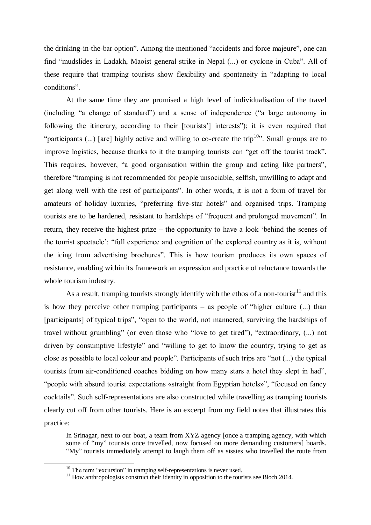the drinking-in-the-bar option". Among the mentioned "accidents and force majeure", one can find "mudslides in Ladakh, Maoist general strike in Nepal (...) or cyclone in Cuba". All of these require that tramping tourists show flexibility and spontaneity in "adapting to local conditions".

At the same time they are promised a high level of individualisation of the travel (including "a change of standard") and a sense of independence ("a large autonomy in following the itinerary, according to their [tourists'] interests"); it is even required that "participants  $(...)$  [are] highly active and willing to co-create the trip<sup>10</sup>". Small groups are to improve logistics, because thanks to it the tramping tourists can "get off the tourist track". This requires, however, "a good organisation within the group and acting like partners", therefore "tramping is not recommended for people unsociable, selfish, unwilling to adapt and get along well with the rest of participants". In other words, it is not a form of travel for amateurs of holiday luxuries, "preferring five-star hotels" and organised trips. Tramping tourists are to be hardened, resistant to hardships of "frequent and prolonged movement". In return, they receive the highest prize – the opportunity to have a look 'behind the scenes of the tourist spectacle': "full experience and cognition of the explored country as it is, without the icing from advertising brochures". This is how tourism produces its own spaces of resistance, enabling within its framework an expression and practice of reluctance towards the whole tourism industry.

As a result, tramping tourists strongly identify with the ethos of a non-tourist<sup>11</sup> and this is how they perceive other tramping participants – as people of "higher culture (...) than [participants] of typical trips", "open to the world, not mannered, surviving the hardships of travel without grumbling" (or even those who "love to get tired"), "extraordinary, (...) not driven by consumptive lifestyle" and "willing to get to know the country, trying to get as close as possible to local colour and people". Participants of such trips are "not (...) the typical tourists from air-conditioned coaches bidding on how many stars a hotel they slept in had", "people with absurd tourist expectations «straight from Egyptian hotels»", "focused on fancy cocktails". Such self-representations are also constructed while travelling as tramping tourists clearly cut off from other tourists. Here is an excerpt from my field notes that illustrates this practice:

In Srinagar, next to our boat, a team from XYZ agency [once a tramping agency, with which some of "my" tourists once travelled, now focused on more demanding customers] boards. "My" tourists immediately attempt to laugh them off as sissies who travelled the route from

1

 $10$  The term "excursion" in tramping self-representations is never used.

 $11$  How anthropologists construct their identity in opposition to the tourists see Bloch 2014.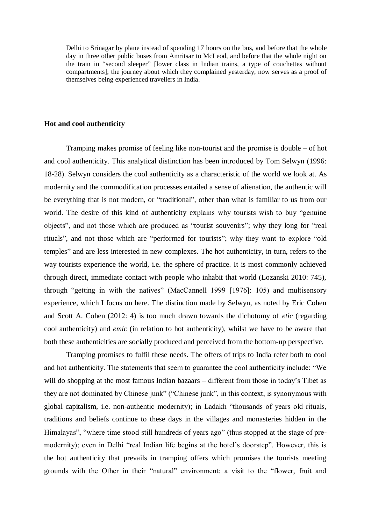Delhi to Srinagar by plane instead of spending 17 hours on the bus, and before that the whole day in three other public buses from Amritsar to McLeod, and before that the whole night on the train in "second sleeper" [lower class in Indian trains, a type of couchettes without compartments]; the journey about which they complained yesterday, now serves as a proof of themselves being experienced travellers in India.

## **Hot and cool authenticity**

Tramping makes promise of feeling like non-tourist and the promise is double – of hot and cool authenticity. This analytical distinction has been introduced by Tom Selwyn (1996: 18-28). Selwyn considers the cool authenticity as a characteristic of the world we look at. As modernity and the commodification processes entailed a sense of alienation, the authentic will be everything that is not modern, or "traditional", other than what is familiar to us from our world. The desire of this kind of authenticity explains why tourists wish to buy "genuine objects", and not those which are produced as "tourist souvenirs"; why they long for "real rituals", and not those which are "performed for tourists"; why they want to explore "old temples" and are less interested in new complexes. The hot authenticity, in turn, refers to the way tourists experience the world, i.e. the sphere of practice. It is most commonly achieved through direct, immediate contact with people who inhabit that world (Lozanski 2010: 745), through "getting in with the natives" (MacCannell 1999 [1976]: 105) and multisensory experience, which I focus on here. The distinction made by Selwyn, as noted by Eric Cohen and Scott A. Cohen (2012: 4) is too much drawn towards the dichotomy of *etic* (regarding cool authenticity) and *emic* (in relation to hot authenticity), whilst we have to be aware that both these authenticities are socially produced and perceived from the bottom-up perspective.

Tramping promises to fulfil these needs. The offers of trips to India refer both to cool and hot authenticity. The statements that seem to guarantee the cool authenticity include: "We will do shopping at the most famous Indian bazaars – different from those in today's Tibet as they are not dominated by Chinese junk" ("Chinese junk", in this context, is synonymous with global capitalism, i.e. non-authentic modernity); in Ladakh "thousands of years old rituals, traditions and beliefs continue to these days in the villages and monasteries hidden in the Himalayas", "where time stood still hundreds of years ago" (thus stopped at the stage of premodernity); even in Delhi "real Indian life begins at the hotel's doorstep". However, this is the hot authenticity that prevails in tramping offers which promises the tourists meeting grounds with the Other in their "natural" environment: a visit to the "flower, fruit and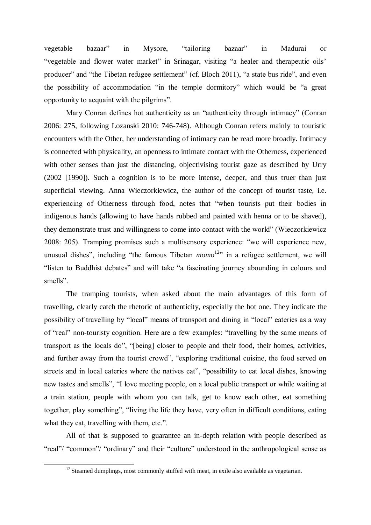vegetable bazaar" in Mysore, "tailoring bazaar" in Madurai or "vegetable and flower water market" in Srinagar, visiting "a healer and therapeutic oils' producer" and "the Tibetan refugee settlement" (cf. Bloch 2011), "a state bus ride", and even the possibility of accommodation "in the temple dormitory" which would be "a great opportunity to acquaint with the pilgrims".

Mary Conran defines hot authenticity as an "authenticity through intimacy" (Conran 2006: 275, following Lozanski 2010: 746-748). Although Conran refers mainly to touristic encounters with the Other, her understanding of intimacy can be read more broadly. Intimacy is connected with physicality, an openness to intimate contact with the Otherness, experienced with other senses than just the distancing, objectivising tourist gaze as described by Urry (2002 [1990]). Such a cognition is to be more intense, deeper, and thus truer than just superficial viewing. Anna Wieczorkiewicz, the author of the concept of tourist taste, i.e. experiencing of Otherness through food, notes that "when tourists put their bodies in indigenous hands (allowing to have hands rubbed and painted with henna or to be shaved), they demonstrate trust and willingness to come into contact with the world" (Wieczorkiewicz 2008: 205). Tramping promises such a multisensory experience: "we will experience new, unusual dishes", including "the famous Tibetan  $mono<sup>12</sup>$ " in a refugee settlement, we will "listen to Buddhist debates" and will take "a fascinating journey abounding in colours and smells".

The tramping tourists, when asked about the main advantages of this form of travelling, clearly catch the rhetoric of authenticity, especially the hot one. They indicate the possibility of travelling by "local" means of transport and dining in "local" eateries as a way of "real" non-touristy cognition. Here are a few examples: "travelling by the same means of transport as the locals do", "[being] closer to people and their food, their homes, activities, and further away from the tourist crowd", "exploring traditional cuisine, the food served on streets and in local eateries where the natives eat", "possibility to eat local dishes, knowing new tastes and smells", "I love meeting people, on a local public transport or while waiting at a train station, people with whom you can talk, get to know each other, eat something together, play something", "living the life they have, very often in difficult conditions, eating what they eat, travelling with them, etc.".

All of that is supposed to guarantee an in-depth relation with people described as "real"/ "common"/ "ordinary" and their "culture" understood in the anthropological sense as

1

 $12$  Steamed dumplings, most commonly stuffed with meat, in exile also available as vegetarian.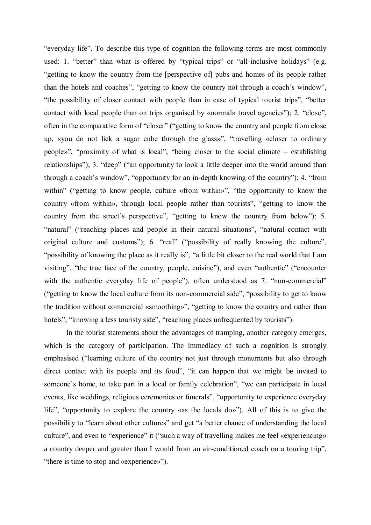"everyday life". To describe this type of cognition the following terms are most commonly used: 1. "better" than what is offered by "typical trips" or "all-inclusive holidays" (e.g. "getting to know the country from the [perspective of] pubs and homes of its people rather than the hotels and coaches", "getting to know the country not through a coach's window", "the possibility of closer contact with people than in case of typical tourist trips", "better contact with local people than on trips organised by «normal» travel agencies"); 2. "close", often in the comparative form of "closer" ("getting to know the country and people from close up, «you do not lick a sugar cube through the glass»", "travelling «closer to ordinary people»", "proximity of what is local", "being closer to the social climate – establishing relationships"); 3. "deep" ("an opportunity to look a little deeper into the world around than through a coach's window", "opportunity for an in-depth knowing of the country"); 4. "from within" ("getting to know people, culture «from within»", "the opportunity to know the country «from within», through local people rather than tourists", "getting to know the country from the street's perspective", "getting to know the country from below"); 5. "natural" ("reaching places and people in their natural situations", "natural contact with original culture and customs"); 6. "real" ("possibility of really knowing the culture", "possibility of knowing the place as it really is", "a little bit closer to the real world that I am visiting", "the true face of the country, people, cuisine"), and even "authentic" ("encounter with the authentic everyday life of people"), often understood as 7. "non-commercial" ("getting to know the local culture from its non-commercial side", "possibility to get to know the tradition without commercial «smoothing»", "getting to know the country and rather than hotels", "knowing a less touristy side", "reaching places unfrequented by tourists").

In the tourist statements about the advantages of tramping, another category emerges, which is the category of participation. The immediacy of such a cognition is strongly emphasised ("learning culture of the country not just through monuments but also through direct contact with its people and its food", "it can happen that we might be invited to someone's home, to take part in a local or family celebration", "we can participate in local events, like weddings, religious ceremonies or funerals", "opportunity to experience everyday life", "opportunity to explore the country «as the locals do»"). All of this is to give the possibility to "learn about other cultures" and get "a better chance of understanding the local culture", and even to "experience" it ("such a way of travelling makes me feel «experiencing» a country deeper and greater than I would from an air-conditioned coach on a touring trip", "there is time to stop and «experience»").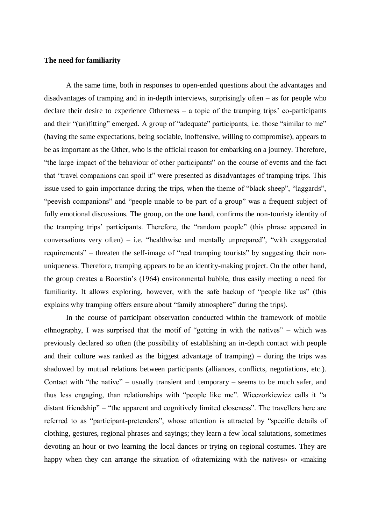## **The need for familiarity**

A the same time, both in responses to open-ended questions about the advantages and disadvantages of tramping and in in-depth interviews, surprisingly often – as for people who declare their desire to experience Otherness – a topic of the tramping trips' co-participants and their "(un)fitting" emerged. A group of "adequate" participants, i.e. those "similar to me" (having the same expectations, being sociable, inoffensive, willing to compromise), appears to be as important as the Other, who is the official reason for embarking on a journey. Therefore, "the large impact of the behaviour of other participants" on the course of events and the fact that "travel companions can spoil it" were presented as disadvantages of tramping trips. This issue used to gain importance during the trips, when the theme of "black sheep", "laggards", "peevish companions" and "people unable to be part of a group" was a frequent subject of fully emotional discussions. The group, on the one hand, confirms the non-touristy identity of the tramping trips' participants. Therefore, the "random people" (this phrase appeared in conversations very often) – i.e. "healthwise and mentally unprepared", "with exaggerated requirements" – threaten the self-image of "real tramping tourists" by suggesting their nonuniqueness. Therefore, tramping appears to be an identity-making project. On the other hand, the group creates a Boorstin's (1964) environmental bubble, thus easily meeting a need for familiarity. It allows exploring, however, with the safe backup of "people like us" (this explains why tramping offers ensure about "family atmosphere" during the trips).

In the course of participant observation conducted within the framework of mobile ethnography, I was surprised that the motif of "getting in with the natives" – which was previously declared so often (the possibility of establishing an in-depth contact with people and their culture was ranked as the biggest advantage of tramping) – during the trips was shadowed by mutual relations between participants (alliances, conflicts, negotiations, etc.). Contact with "the native" – usually transient and temporary – seems to be much safer, and thus less engaging, than relationships with "people like me". Wieczorkiewicz calls it "a distant friendship" – "the apparent and cognitively limited closeness". The travellers here are referred to as "participant-pretenders", whose attention is attracted by "specific details of clothing, gestures, regional phrases and sayings; they learn a few local salutations, sometimes devoting an hour or two learning the local dances or trying on regional costumes. They are happy when they can arrange the situation of «fraternizing with the natives» or «making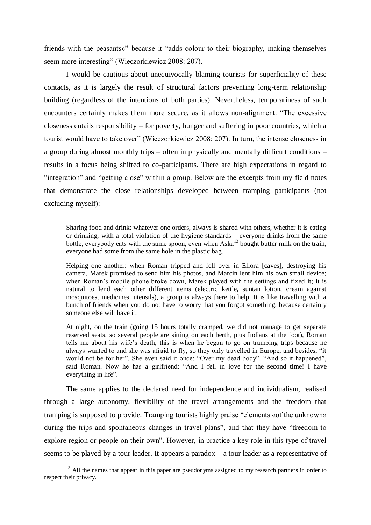friends with the peasants»" because it "adds colour to their biography, making themselves seem more interesting" (Wieczorkiewicz 2008: 207).

I would be cautious about unequivocally blaming tourists for superficiality of these contacts, as it is largely the result of structural factors preventing long-term relationship building (regardless of the intentions of both parties). Nevertheless, temporariness of such encounters certainly makes them more secure, as it allows non-alignment. "The excessive closeness entails responsibility – for poverty, hunger and suffering in poor countries, which a tourist would have to take over" (Wieczorkiewicz 2008: 207). In turn, the intense closeness in a group during almost monthly trips – often in physically and mentally difficult conditions – results in a focus being shifted to co-participants. There are high expectations in regard to "integration" and "getting close" within a group. Below are the excerpts from my field notes that demonstrate the close relationships developed between tramping participants (not excluding myself):

Sharing food and drink: whatever one orders, always is shared with others, whether it is eating or drinking, with a total violation of the hygiene standards – everyone drinks from the same bottle, everybody eats with the same spoon, even when Aska<sup>13</sup> bought butter milk on the train, everyone had some from the same hole in the plastic bag.

Helping one another: when Roman tripped and fell over in Ellora [caves], destroying his camera, Marek promised to send him his photos, and Marcin lent him his own small device; when Roman's mobile phone broke down, Marek played with the settings and fixed it; it is natural to lend each other different items (electric kettle, suntan lotion, cream against mosquitoes, medicines, utensils), a group is always there to help. It is like travelling with a bunch of friends when you do not have to worry that you forgot something, because certainly someone else will have it.

At night, on the train (going 15 hours totally cramped, we did not manage to get separate reserved seats, so several people are sitting on each berth, plus Indians at the foot), Roman tells me about his wife's death; this is when he began to go on tramping trips because he always wanted to and she was afraid to fly, so they only travelled in Europe, and besides, "it would not be for her". She even said it once: "Over my dead body". "And so it happened", said Roman. Now he has a girlfriend: "And I fell in love for the second time! I have everything in life".

The same applies to the declared need for independence and individualism, realised through a large autonomy, flexibility of the travel arrangements and the freedom that tramping is supposed to provide. Tramping tourists highly praise "elements «of the unknown» during the trips and spontaneous changes in travel plans", and that they have "freedom to explore region or people on their own". However, in practice a key role in this type of travel seems to be played by a tour leader. It appears a paradox – a tour leader as a representative of

1

<sup>&</sup>lt;sup>13</sup> All the names that appear in this paper are pseudonyms assigned to my research partners in order to respect their privacy.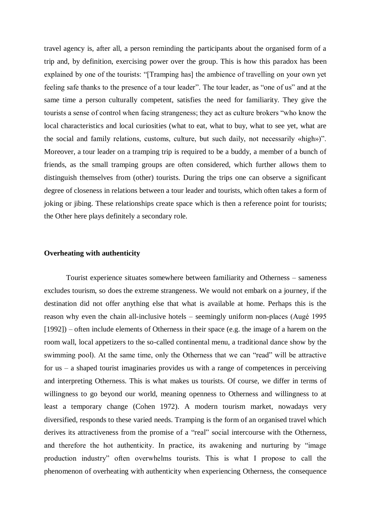travel agency is, after all, a person reminding the participants about the organised form of a trip and, by definition, exercising power over the group. This is how this paradox has been explained by one of the tourists: "[Tramping has] the ambience of travelling on your own yet feeling safe thanks to the presence of a tour leader". The tour leader, as "one of us" and at the same time a person culturally competent, satisfies the need for familiarity. They give the tourists a sense of control when facing strangeness; they act as culture brokers "who know the local characteristics and local curiosities (what to eat, what to buy, what to see yet, what are the social and family relations, customs, culture, but such daily, not necessarily «high»)". Moreover, a tour leader on a tramping trip is required to be a buddy, a member of a bunch of friends, as the small tramping groups are often considered, which further allows them to distinguish themselves from (other) tourists. During the trips one can observe a significant degree of closeness in relations between a tour leader and tourists, which often takes a form of joking or jibing. These relationships create space which is then a reference point for tourists; the Other here plays definitely a secondary role.

#### **Overheating with authenticity**

Tourist experience situates somewhere between familiarity and Otherness – sameness excludes tourism, so does the extreme strangeness. We would not embark on a journey, if the destination did not offer anything else that what is available at home. Perhaps this is the reason why even the chain all-inclusive hotels – seemingly uniform non-places (Augé 1995 [1992]) – often include elements of Otherness in their space (e.g. the image of a harem on the room wall, local appetizers to the so-called continental menu, a traditional dance show by the swimming pool). At the same time, only the Otherness that we can "read" will be attractive for  $us - a$  shaped tourist imaginaries provides us with a range of competences in perceiving and interpreting Otherness. This is what makes us tourists. Of course, we differ in terms of willingness to go beyond our world, meaning openness to Otherness and willingness to at least a temporary change (Cohen 1972). A modern tourism market, nowadays very diversified, responds to these varied needs. Tramping is the form of an organised travel which derives its attractiveness from the promise of a "real" social intercourse with the Otherness, and therefore the hot authenticity. In practice, its awakening and nurturing by "image production industry" often overwhelms tourists. This is what I propose to call the phenomenon of overheating with authenticity when experiencing Otherness, the consequence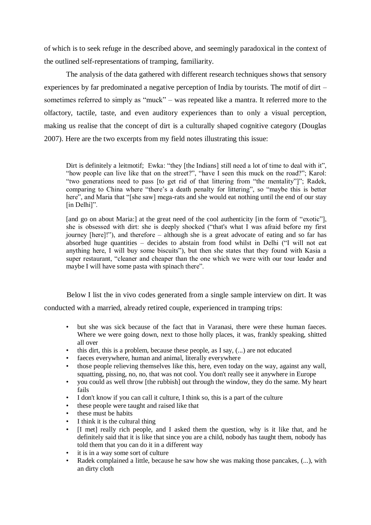of which is to seek refuge in the described above, and seemingly paradoxical in the context of the outlined self-representations of tramping, familiarity.

The analysis of the data gathered with different research techniques shows that sensory experiences by far predominated a negative perception of India by tourists. The motif of dirt – sometimes referred to simply as "muck" – was repeated like a mantra. It referred more to the olfactory, tactile, taste, and even auditory experiences than to only a visual perception, making us realise that the concept of dirt is a culturally shaped cognitive category (Douglas 2007). Here are the two excerpts from my field notes illustrating this issue:

Dirt is definitely a leitmotif; Ewka: "they [the Indians] still need a lot of time to deal with it", "how people can live like that on the street?", "have I seen this muck on the road?"; Karol: "two generations need to pass [to get rid of that littering from "the mentality"]"; Radek, comparing to China where "there's a death penalty for littering", so "maybe this is better here", and Maria that "[she saw] mega-rats and she would eat nothing until the end of our stay [in Delhi]".

[and go on about Maria:] at the great need of the cool authenticity [in the form of "exotic"], she is obsessed with dirt: she is deeply shocked ("that's what I was afraid before my first journey [here]!"), and therefore – although she is a great advocate of eating and so far has absorbed huge quantities – decides to abstain from food whilst in Delhi ("I will not eat anything here, I will buy some biscuits"), but then she states that they found with Kasia a super restaurant, "cleaner and cheaper than the one which we were with our tour leader and maybe I will have some pasta with spinach there".

Below I list the in vivo codes generated from a single sample interview on dirt. It was conducted with a married, already retired couple, experienced in tramping trips:

- but she was sick because of the fact that in Varanasi, there were these human faeces. Where we were going down, next to those holly places, it was, frankly speaking, shitted all over
- this dirt, this is a problem, because these people, as I say, (...) are not educated
- faeces everywhere, human and animal, literally everywhere
- those people relieving themselves like this, here, even today on the way, against any wall, squatting, pissing, no, no, that was not cool. You don't really see it anywhere in Europe
- you could as well throw [the rubbish] out through the window, they do the same. My heart fails
- I don't know if you can call it culture, I think so, this is a part of the culture
- these people were taught and raised like that
- these must be habits
- I think it is the cultural thing
- [I met] really rich people, and I asked them the question, why is it like that, and he definitely said that it is like that since you are a child, nobody has taught them, nobody has told them that you can do it in a different way
- it is in a way some sort of culture
- Radek complained a little, because he saw how she was making those pancakes,  $(...)$ , with an dirty cloth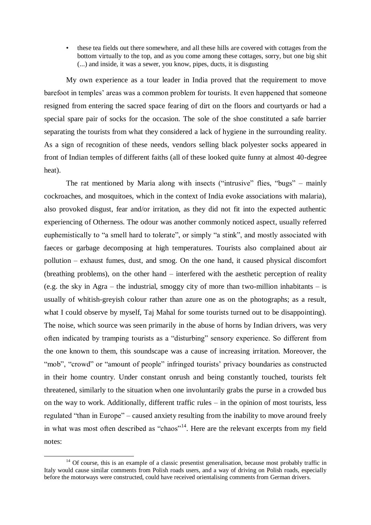• these tea fields out there somewhere, and all these hills are covered with cottages from the bottom virtually to the top, and as you come among these cottages, sorry, but one big shit (...) and inside, it was a sewer, you know, pipes, ducts, it is disgusting

My own experience as a tour leader in India proved that the requirement to move barefoot in temples' areas was a common problem for tourists. It even happened that someone resigned from entering the sacred space fearing of dirt on the floors and courtyards or had a special spare pair of socks for the occasion. The sole of the shoe constituted a safe barrier separating the tourists from what they considered a lack of hygiene in the surrounding reality. As a sign of recognition of these needs, vendors selling black polyester socks appeared in front of Indian temples of different faiths (all of these looked quite funny at almost 40-degree heat).

The rat mentioned by Maria along with insects ("intrusive" flies, "bugs" – mainly cockroaches, and mosquitoes, which in the context of India evoke associations with malaria), also provoked disgust, fear and/or irritation, as they did not fit into the expected authentic experiencing of Otherness. The odour was another commonly noticed aspect, usually referred euphemistically to "a smell hard to tolerate", or simply "a stink", and mostly associated with faeces or garbage decomposing at high temperatures. Tourists also complained about air pollution – exhaust fumes, dust, and smog. On the one hand, it caused physical discomfort (breathing problems), on the other hand – interfered with the aesthetic perception of reality (e.g. the sky in Agra – the industrial, smoggy city of more than two-million inhabitants – is usually of whitish-greyish colour rather than azure one as on the photographs; as a result, what I could observe by myself, Taj Mahal for some tourists turned out to be disappointing). The noise, which source was seen primarily in the abuse of horns by Indian drivers, was very often indicated by tramping tourists as a "disturbing" sensory experience. So different from the one known to them, this soundscape was a cause of increasing irritation. Moreover, the "mob", "crowd" or "amount of people" infringed tourists' privacy boundaries as constructed in their home country. Under constant onrush and being constantly touched, tourists felt threatened, similarly to the situation when one involuntarily grabs the purse in a crowded bus on the way to work. Additionally, different traffic rules – in the opinion of most tourists, less regulated "than in Europe" – caused anxiety resulting from the inability to move around freely in what was most often described as "chaos"<sup>14</sup>. Here are the relevant excerpts from my field notes:

-

<sup>&</sup>lt;sup>14</sup> Of course, this is an example of a classic presentist generalisation, because most probably traffic in Italy would cause similar comments from Polish roads users, and a way of driving on Polish roads, especially before the motorways were constructed, could have received orientalising comments from German drivers.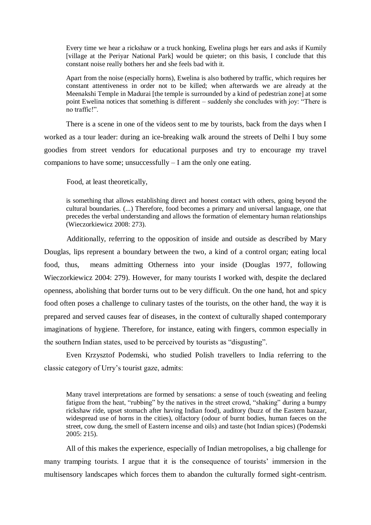Every time we hear a rickshaw or a truck honking, Ewelina plugs her ears and asks if Kumily [village at the Periyar National Park] would be quieter; on this basis, I conclude that this constant noise really bothers her and she feels bad with it.

Apart from the noise (especially horns), Ewelina is also bothered by traffic, which requires her constant attentiveness in order not to be killed; when afterwards we are already at the Meenakshi Temple in Madurai [the temple is surrounded by a kind of pedestrian zone] at some point Ewelina notices that something is different – suddenly she concludes with joy: "There is no traffic!".

There is a scene in one of the videos sent to me by tourists, back from the days when I worked as a tour leader: during an ice-breaking walk around the streets of Delhi I buy some goodies from street vendors for educational purposes and try to encourage my travel companions to have some; unsuccessfully – I am the only one eating.

Food, at least theoretically,

is something that allows establishing direct and honest contact with others, going beyond the cultural boundaries. (...) Therefore, food becomes a primary and universal language, one that precedes the verbal understanding and allows the formation of elementary human relationships (Wieczorkiewicz 2008: 273).

Additionally, referring to the opposition of inside and outside as described by Mary Douglas, lips represent a boundary between the two, a kind of a control organ; eating local food, thus, means admitting Otherness into your inside (Douglas 1977, following Wieczorkiewicz 2004: 279). However, for many tourists I worked with, despite the declared openness, abolishing that border turns out to be very difficult. On the one hand, hot and spicy food often poses a challenge to culinary tastes of the tourists, on the other hand, the way it is prepared and served causes fear of diseases, in the context of culturally shaped contemporary imaginations of hygiene. Therefore, for instance, eating with fingers, common especially in the southern Indian states, used to be perceived by tourists as "disgusting".

Even Krzysztof Podemski, who studied Polish travellers to India referring to the classic category of Urry's tourist gaze, admits:

Many travel interpretations are formed by sensations: a sense of touch (sweating and feeling fatigue from the heat, "rubbing" by the natives in the street crowd, "shaking" during a bumpy rickshaw ride, upset stomach after having Indian food), auditory (buzz of the Eastern bazaar, widespread use of horns in the cities), olfactory (odour of burnt bodies, human faeces on the street, cow dung, the smell of Eastern incense and oils) and taste (hot Indian spices) (Podemski 2005: 215).

All of this makes the experience, especially of Indian metropolises, a big challenge for many tramping tourists. I argue that it is the consequence of tourists' immersion in the multisensory landscapes which forces them to abandon the culturally formed sight-centrism.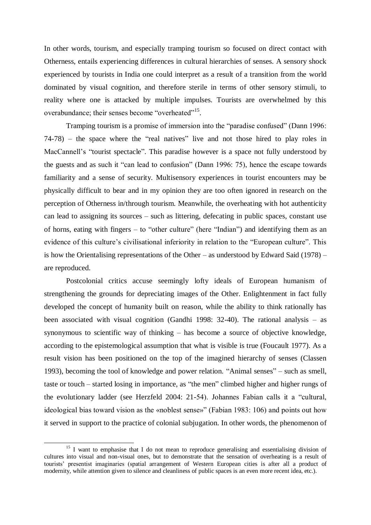In other words, tourism, and especially tramping tourism so focused on direct contact with Otherness, entails experiencing differences in cultural hierarchies of senses. A sensory shock experienced by tourists in India one could interpret as a result of a transition from the world dominated by visual cognition, and therefore sterile in terms of other sensory stimuli, to reality where one is attacked by multiple impulses. Tourists are overwhelmed by this overabundance; their senses become "overheated"<sup>15</sup>.

Tramping tourism is a promise of immersion into the "paradise confused" (Dann 1996: 74-78) – the space where the "real natives" live and not those hired to play roles in MacCannell's "tourist spectacle". This paradise however is a space not fully understood by the guests and as such it "can lead to confusion" (Dann 1996: 75), hence the escape towards familiarity and a sense of security. Multisensory experiences in tourist encounters may be physically difficult to bear and in my opinion they are too often ignored in research on the perception of Otherness in/through tourism. Meanwhile, the overheating with hot authenticity can lead to assigning its sources – such as littering, defecating in public spaces, constant use of horns, eating with fingers – to "other culture" (here "Indian") and identifying them as an evidence of this culture's civilisational inferiority in relation to the "European culture". This is how the Orientalising representations of the Other – as understood by Edward Said (1978) – are reproduced.

Postcolonial critics accuse seemingly lofty ideals of European humanism of strengthening the grounds for depreciating images of the Other. Enlightenment in fact fully developed the concept of humanity built on reason, while the ability to think rationally has been associated with visual cognition (Gandhi 1998: 32-40). The rational analysis – as synonymous to scientific way of thinking – has become a source of objective knowledge, according to the epistemological assumption that what is visible is true (Foucault 1977). As a result vision has been positioned on the top of the imagined hierarchy of senses (Classen 1993), becoming the tool of knowledge and power relation. "Animal senses" – such as smell, taste or touch – started losing in importance, as "the men" climbed higher and higher rungs of the evolutionary ladder (see Herzfeld 2004: 21-54). Johannes Fabian calls it a "cultural, ideological bias toward vision as the «noblest sense»" (Fabian 1983: 106) and points out how it served in support to the practice of colonial subjugation. In other words, the phenomenon of

1

<sup>&</sup>lt;sup>15</sup> I want to emphasise that I do not mean to reproduce generalising and essentialising division of cultures into visual and non-visual ones, but to demonstrate that the sensation of overheating is a result of tourists' presentist imaginaries (spatial arrangement of Western European cities is after all a product of modernity, while attention given to silence and cleanliness of public spaces is an even more recent idea, etc.).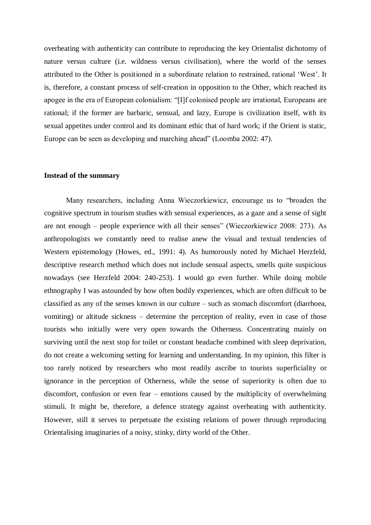overheating with authenticity can contribute to reproducing the key Orientalist dichotomy of nature versus culture (i.e. wildness versus civilisation), where the world of the senses attributed to the Other is positioned in a subordinate relation to restrained, rational 'West'. It is, therefore, a constant process of self-creation in opposition to the Other, which reached its apogee in the era of European colonialism: "[I]f colonised people are irrational, Europeans are rational; if the former are barbaric, sensual, and lazy, Europe is civilization itself, with its sexual appetites under control and its dominant ethic that of hard work; if the Orient is static, Europe can be seen as developing and marching ahead" (Loomba 2002: 47).

## **Instead of the summary**

Many researchers, including Anna Wieczorkiewicz, encourage us to "broaden the cognitive spectrum in tourism studies with sensual experiences, as a gaze and a sense of sight are not enough – people experience with all their senses" (Wieczorkiewicz 2008: 273). As anthropologists we constantly need to realise anew the visual and textual tendencies of Western epistemology (Howes, ed., 1991: 4). As humorously noted by Michael Herzfeld, descriptive research method which does not include sensual aspects, smells quite suspicious nowadays (see Herzfeld 2004: 240-253). I would go even further. While doing mobile ethnography I was astounded by how often bodily experiences, which are often difficult to be classified as any of the senses known in our culture – such as stomach discomfort (diarrhoea, vomiting) or altitude sickness – determine the perception of reality, even in case of those tourists who initially were very open towards the Otherness. Concentrating mainly on surviving until the next stop for toilet or constant headache combined with sleep deprivation, do not create a welcoming setting for learning and understanding. In my opinion, this filter is too rarely noticed by researchers who most readily ascribe to tourists superficiality or ignorance in the perception of Otherness, while the sense of superiority is often due to discomfort, confusion or even fear – emotions caused by the multiplicity of overwhelming stimuli. It might be, therefore, a defence strategy against overheating with authenticity. However, still it serves to perpetuate the existing relations of power through reproducing Orientalising imaginaries of a noisy, stinky, dirty world of the Other.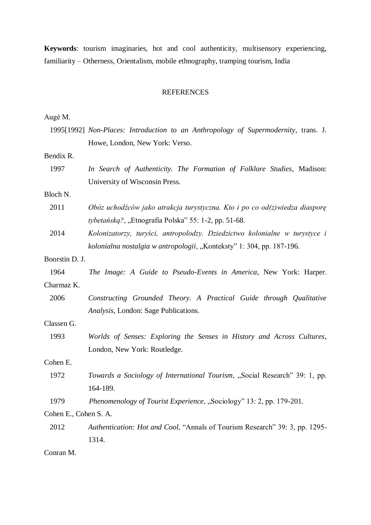**Keywords**: tourism imaginaries, hot and cool authenticity, multisensory experiencing, familiarity – Otherness, Orientalism, mobile ethnography, tramping tourism, India

## REFERENCES

Augé M.

|                       | 1995[1992] Non-Places: Introduction to an Anthropology of Supermodernity, trans. J.<br>Howe, London, New York: Verso. |  |  |  |  |  |
|-----------------------|-----------------------------------------------------------------------------------------------------------------------|--|--|--|--|--|
|                       |                                                                                                                       |  |  |  |  |  |
| Bendix R.             |                                                                                                                       |  |  |  |  |  |
| 1997                  | In Search of Authenticity. The Formation of Folklore Studies, Madison:                                                |  |  |  |  |  |
|                       | University of Wisconsin Press.                                                                                        |  |  |  |  |  |
| Bloch N.              |                                                                                                                       |  |  |  |  |  |
| 2011                  | Obóz uchodźców jako atrakcja turystyczna. Kto i po co od $(z)$ wiedza diasporę                                        |  |  |  |  |  |
|                       | tybetańską?, "Etnografia Polska" 55: 1-2, pp. 51-68.                                                                  |  |  |  |  |  |
| 2014                  | Kolonizatorzy, turyści, antropolodzy. Dziedzictwo kolonialne w turystyce i                                            |  |  |  |  |  |
|                       | kolonialna nostalgia w antropologii, "Konteksty" 1: 304, pp. 187-196.                                                 |  |  |  |  |  |
| Boorstin D. J.        |                                                                                                                       |  |  |  |  |  |
| 1964                  | The Image: A Guide to Pseudo-Events in America, New York: Harper.                                                     |  |  |  |  |  |
| Charmaz K.            |                                                                                                                       |  |  |  |  |  |
| 2006                  | Constructing Grounded Theory. A Practical Guide through Qualitative                                                   |  |  |  |  |  |
|                       | Analysis, London: Sage Publications.                                                                                  |  |  |  |  |  |
| Classen G.            |                                                                                                                       |  |  |  |  |  |
| 1993                  | Worlds of Senses: Exploring the Senses in History and Across Cultures,                                                |  |  |  |  |  |
|                       | London, New York: Routledge.                                                                                          |  |  |  |  |  |
| Cohen E.              |                                                                                                                       |  |  |  |  |  |
| 1972                  | Towards a Sociology of International Tourism, "Social Research" 39: 1, pp.                                            |  |  |  |  |  |
|                       | 164-189.                                                                                                              |  |  |  |  |  |
| 1979                  | Phenomenology of Tourist Experience, "Sociology" 13: 2, pp. 179-201.                                                  |  |  |  |  |  |
| Cohen E., Cohen S. A. |                                                                                                                       |  |  |  |  |  |
| 2012                  | Authentication: Hot and Cool, "Annals of Tourism Research" 39: 3, pp. 1295-                                           |  |  |  |  |  |
|                       | 1314.                                                                                                                 |  |  |  |  |  |
| Conran M.             |                                                                                                                       |  |  |  |  |  |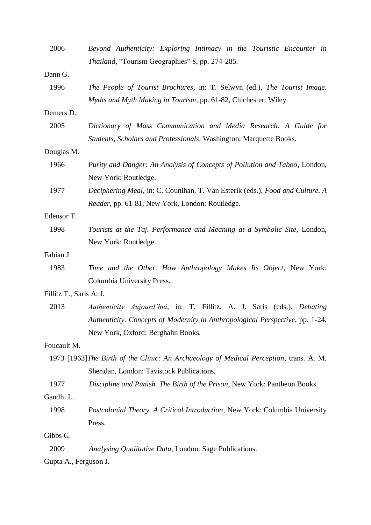| Thailand, "Tourism Geographies" 8, pp. 274-285.<br>Dann G.<br>1996<br>The People of Tourist Brochures, in: T. Selwyn (ed.), The Tourist Image.<br>Myths and Myth Making in Tourism, pp. 61-82, Chichester: Wiley.<br>Demers D.<br>2005<br>Dictionary of Mass Communication and Media Research: A Guide for<br>Students, Scholars and Professionals, Washington: Marquette Books.<br>Douglas M.<br>1966<br>Purity and Danger: An Analysis of Concepts of Pollution and Taboo, London,<br>New York: Routledge.<br>1977<br>Deciphering Meal, in: C. Counihan, T. Van Esterik (eds.), Food and Culture. A<br>Reader, pp. 61-81, New York, London: Routledge.<br>Edensor T.<br>Tourists at the Taj. Performance and Meaning at a Symbolic Site, London,<br>1998<br>New York: Routledge.<br>Fabian J.<br>1983<br>Time and the Other. How Anthropology Makes Its Object, New York:<br>Columbia University Press.<br>Fillitz T., Saris A. J.<br>2013<br>Authenticity Aujourd'hui, in: T. Fillitz, A. J. Saris (eds.), Debating<br>Authenticity. Concepts of Modernity in Anthropological Perspective, pp. 1-24,<br>New York, Oxford: Berghahn Books.<br>Foucault M. |
|-------------------------------------------------------------------------------------------------------------------------------------------------------------------------------------------------------------------------------------------------------------------------------------------------------------------------------------------------------------------------------------------------------------------------------------------------------------------------------------------------------------------------------------------------------------------------------------------------------------------------------------------------------------------------------------------------------------------------------------------------------------------------------------------------------------------------------------------------------------------------------------------------------------------------------------------------------------------------------------------------------------------------------------------------------------------------------------------------------------------------------------------------------------|
|                                                                                                                                                                                                                                                                                                                                                                                                                                                                                                                                                                                                                                                                                                                                                                                                                                                                                                                                                                                                                                                                                                                                                             |
|                                                                                                                                                                                                                                                                                                                                                                                                                                                                                                                                                                                                                                                                                                                                                                                                                                                                                                                                                                                                                                                                                                                                                             |
|                                                                                                                                                                                                                                                                                                                                                                                                                                                                                                                                                                                                                                                                                                                                                                                                                                                                                                                                                                                                                                                                                                                                                             |
|                                                                                                                                                                                                                                                                                                                                                                                                                                                                                                                                                                                                                                                                                                                                                                                                                                                                                                                                                                                                                                                                                                                                                             |
|                                                                                                                                                                                                                                                                                                                                                                                                                                                                                                                                                                                                                                                                                                                                                                                                                                                                                                                                                                                                                                                                                                                                                             |
|                                                                                                                                                                                                                                                                                                                                                                                                                                                                                                                                                                                                                                                                                                                                                                                                                                                                                                                                                                                                                                                                                                                                                             |
|                                                                                                                                                                                                                                                                                                                                                                                                                                                                                                                                                                                                                                                                                                                                                                                                                                                                                                                                                                                                                                                                                                                                                             |
|                                                                                                                                                                                                                                                                                                                                                                                                                                                                                                                                                                                                                                                                                                                                                                                                                                                                                                                                                                                                                                                                                                                                                             |
|                                                                                                                                                                                                                                                                                                                                                                                                                                                                                                                                                                                                                                                                                                                                                                                                                                                                                                                                                                                                                                                                                                                                                             |
|                                                                                                                                                                                                                                                                                                                                                                                                                                                                                                                                                                                                                                                                                                                                                                                                                                                                                                                                                                                                                                                                                                                                                             |
|                                                                                                                                                                                                                                                                                                                                                                                                                                                                                                                                                                                                                                                                                                                                                                                                                                                                                                                                                                                                                                                                                                                                                             |
|                                                                                                                                                                                                                                                                                                                                                                                                                                                                                                                                                                                                                                                                                                                                                                                                                                                                                                                                                                                                                                                                                                                                                             |
|                                                                                                                                                                                                                                                                                                                                                                                                                                                                                                                                                                                                                                                                                                                                                                                                                                                                                                                                                                                                                                                                                                                                                             |
|                                                                                                                                                                                                                                                                                                                                                                                                                                                                                                                                                                                                                                                                                                                                                                                                                                                                                                                                                                                                                                                                                                                                                             |
|                                                                                                                                                                                                                                                                                                                                                                                                                                                                                                                                                                                                                                                                                                                                                                                                                                                                                                                                                                                                                                                                                                                                                             |
|                                                                                                                                                                                                                                                                                                                                                                                                                                                                                                                                                                                                                                                                                                                                                                                                                                                                                                                                                                                                                                                                                                                                                             |
|                                                                                                                                                                                                                                                                                                                                                                                                                                                                                                                                                                                                                                                                                                                                                                                                                                                                                                                                                                                                                                                                                                                                                             |
|                                                                                                                                                                                                                                                                                                                                                                                                                                                                                                                                                                                                                                                                                                                                                                                                                                                                                                                                                                                                                                                                                                                                                             |
|                                                                                                                                                                                                                                                                                                                                                                                                                                                                                                                                                                                                                                                                                                                                                                                                                                                                                                                                                                                                                                                                                                                                                             |
|                                                                                                                                                                                                                                                                                                                                                                                                                                                                                                                                                                                                                                                                                                                                                                                                                                                                                                                                                                                                                                                                                                                                                             |
|                                                                                                                                                                                                                                                                                                                                                                                                                                                                                                                                                                                                                                                                                                                                                                                                                                                                                                                                                                                                                                                                                                                                                             |
|                                                                                                                                                                                                                                                                                                                                                                                                                                                                                                                                                                                                                                                                                                                                                                                                                                                                                                                                                                                                                                                                                                                                                             |
|                                                                                                                                                                                                                                                                                                                                                                                                                                                                                                                                                                                                                                                                                                                                                                                                                                                                                                                                                                                                                                                                                                                                                             |
| 1973 [1963] The Birth of the Clinic: An Archaeology of Medical Perception, trans. A. M.                                                                                                                                                                                                                                                                                                                                                                                                                                                                                                                                                                                                                                                                                                                                                                                                                                                                                                                                                                                                                                                                     |
| Sheridan, London: Tavistock Publications.                                                                                                                                                                                                                                                                                                                                                                                                                                                                                                                                                                                                                                                                                                                                                                                                                                                                                                                                                                                                                                                                                                                   |
| 1977<br>Discipline and Punish. The Birth of the Prison, New York: Pantheon Books.                                                                                                                                                                                                                                                                                                                                                                                                                                                                                                                                                                                                                                                                                                                                                                                                                                                                                                                                                                                                                                                                           |
| Gandhi L.                                                                                                                                                                                                                                                                                                                                                                                                                                                                                                                                                                                                                                                                                                                                                                                                                                                                                                                                                                                                                                                                                                                                                   |
| 1998<br>Postcolonial Theory. A Critical Introduction, New York: Columbia University                                                                                                                                                                                                                                                                                                                                                                                                                                                                                                                                                                                                                                                                                                                                                                                                                                                                                                                                                                                                                                                                         |
| Press.                                                                                                                                                                                                                                                                                                                                                                                                                                                                                                                                                                                                                                                                                                                                                                                                                                                                                                                                                                                                                                                                                                                                                      |
| Gibbs G.                                                                                                                                                                                                                                                                                                                                                                                                                                                                                                                                                                                                                                                                                                                                                                                                                                                                                                                                                                                                                                                                                                                                                    |
| 2009<br>Analysing Qualitative Data, London: Sage Publications.                                                                                                                                                                                                                                                                                                                                                                                                                                                                                                                                                                                                                                                                                                                                                                                                                                                                                                                                                                                                                                                                                              |
| Gupta A., Ferguson J.                                                                                                                                                                                                                                                                                                                                                                                                                                                                                                                                                                                                                                                                                                                                                                                                                                                                                                                                                                                                                                                                                                                                       |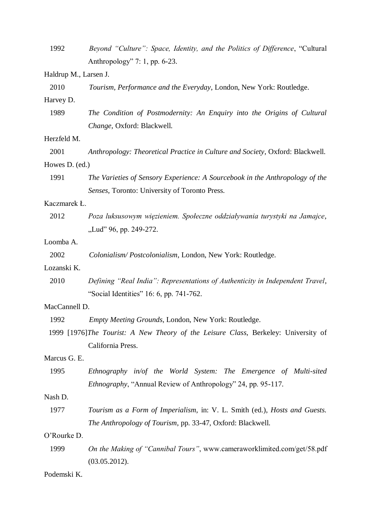| 1992                  | Beyond "Culture": Space, Identity, and the Politics of Difference, "Cultural       |  |  |  |  |
|-----------------------|------------------------------------------------------------------------------------|--|--|--|--|
|                       | Anthropology" 7: 1, pp. $6-23$ .                                                   |  |  |  |  |
| Haldrup M., Larsen J. |                                                                                    |  |  |  |  |
| 2010                  | Tourism, Performance and the Everyday, London, New York: Routledge.                |  |  |  |  |
| Harvey D.             |                                                                                    |  |  |  |  |
| 1989                  | The Condition of Postmodernity: An Enquiry into the Origins of Cultural            |  |  |  |  |
|                       | Change, Oxford: Blackwell.                                                         |  |  |  |  |
| Herzfeld M.           |                                                                                    |  |  |  |  |
| 2001                  | Anthropology: Theoretical Practice in Culture and Society, Oxford: Blackwell.      |  |  |  |  |
| Howes D. (ed.)        |                                                                                    |  |  |  |  |
| 1991                  | The Varieties of Sensory Experience: A Sourcebook in the Anthropology of the       |  |  |  |  |
|                       | Senses, Toronto: University of Toronto Press.                                      |  |  |  |  |
| Kaczmarek Ł.          |                                                                                    |  |  |  |  |
| 2012                  | Poza luksusowym więzieniem. Społeczne oddziaływania turystyki na Jamajce,          |  |  |  |  |
|                       | "Lud" 96, pp. 249-272.                                                             |  |  |  |  |
| Loomba A.             |                                                                                    |  |  |  |  |
| 2002                  | Colonialism/Postcolonialism, London, New York: Routledge.                          |  |  |  |  |
| Lozanski K.           |                                                                                    |  |  |  |  |
| 2010                  | Defining "Real India": Representations of Authenticity in Independent Travel,      |  |  |  |  |
|                       | "Social Identities" 16: 6, pp. 741-762.                                            |  |  |  |  |
| MacCannell D.         |                                                                                    |  |  |  |  |
| 1992                  | Empty Meeting Grounds, London, New York: Routledge.                                |  |  |  |  |
|                       | 1999 [1976]The Tourist: A New Theory of the Leisure Class, Berkeley: University of |  |  |  |  |
|                       | California Press.                                                                  |  |  |  |  |
| Marcus G. E.          |                                                                                    |  |  |  |  |
| 1995                  | Ethnography in/of the World System: The Emergence of Multi-sited                   |  |  |  |  |
|                       | Ethnography, "Annual Review of Anthropology" 24, pp. 95-117.                       |  |  |  |  |
| Nash D.               |                                                                                    |  |  |  |  |
| 1977                  | Tourism as a Form of Imperialism, in: V. L. Smith (ed.), Hosts and Guests.         |  |  |  |  |
|                       | The Anthropology of Tourism, pp. 33-47, Oxford: Blackwell.                         |  |  |  |  |
| O'Rourke D.           |                                                                                    |  |  |  |  |
| 1999                  | On the Making of "Cannibal Tours", www.cameraworklimited.com/get/58.pdf            |  |  |  |  |
|                       | (03.05.2012).                                                                      |  |  |  |  |
| Podemski K.           |                                                                                    |  |  |  |  |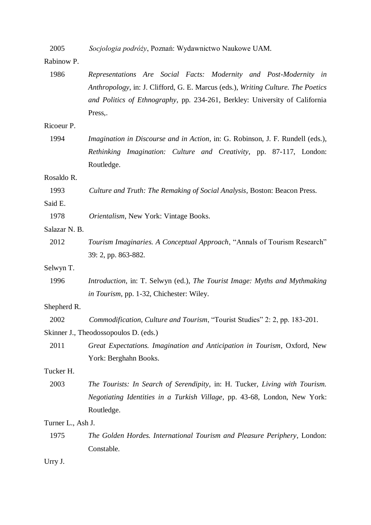| 2005 |  |  |  |  | Socjologia podróży, Poznań: Wydawnictwo Naukowe UAM. |  |
|------|--|--|--|--|------------------------------------------------------|--|
|------|--|--|--|--|------------------------------------------------------|--|

## Rabinow P.

| Representations Are Social Facts: Modernity and Post-Modernity in                |  |  |  |  |
|----------------------------------------------------------------------------------|--|--|--|--|
| Anthropology, in: J. Clifford, G. E. Marcus (eds.), Writing Culture. The Poetics |  |  |  |  |
| and Politics of Ethnography, pp. 234-261, Berkley: University of California      |  |  |  |  |
| Press,.                                                                          |  |  |  |  |
|                                                                                  |  |  |  |  |
| Imagination in Discourse and in Action, in: G. Robinson, J. F. Rundell (eds.),   |  |  |  |  |
| Rethinking Imagination: Culture and Creativity, pp. 87-117, London:              |  |  |  |  |
| Routledge.                                                                       |  |  |  |  |
|                                                                                  |  |  |  |  |
| Culture and Truth: The Remaking of Social Analysis, Boston: Beacon Press.        |  |  |  |  |
|                                                                                  |  |  |  |  |
| Orientalism, New York: Vintage Books.                                            |  |  |  |  |
|                                                                                  |  |  |  |  |
| Tourism Imaginaries. A Conceptual Approach, "Annals of Tourism Research"         |  |  |  |  |
| 39: 2, pp. 863-882.                                                              |  |  |  |  |
|                                                                                  |  |  |  |  |
| Introduction, in: T. Selwyn (ed.), The Tourist Image: Myths and Mythmaking       |  |  |  |  |
| in Tourism, pp. 1-32, Chichester: Wiley.                                         |  |  |  |  |
|                                                                                  |  |  |  |  |
| Commodification, Culture and Tourism, "Tourist Studies" 2: 2, pp. 183-201.       |  |  |  |  |
| Skinner J., Theodossopoulos D. (eds.)                                            |  |  |  |  |
| Great Expectations. Imagination and Anticipation in Tourism, Oxford, New         |  |  |  |  |
| York: Berghahn Books.                                                            |  |  |  |  |
|                                                                                  |  |  |  |  |
| The Tourists: In Search of Serendipity, in: H. Tucker, Living with Tourism.      |  |  |  |  |
| Negotiating Identities in a Turkish Village, pp. 43-68, London, New York:        |  |  |  |  |
| Routledge.                                                                       |  |  |  |  |
| Turner L., Ash J.                                                                |  |  |  |  |
| The Golden Hordes. International Tourism and Pleasure Periphery, London:         |  |  |  |  |
| Constable.                                                                       |  |  |  |  |
|                                                                                  |  |  |  |  |
|                                                                                  |  |  |  |  |